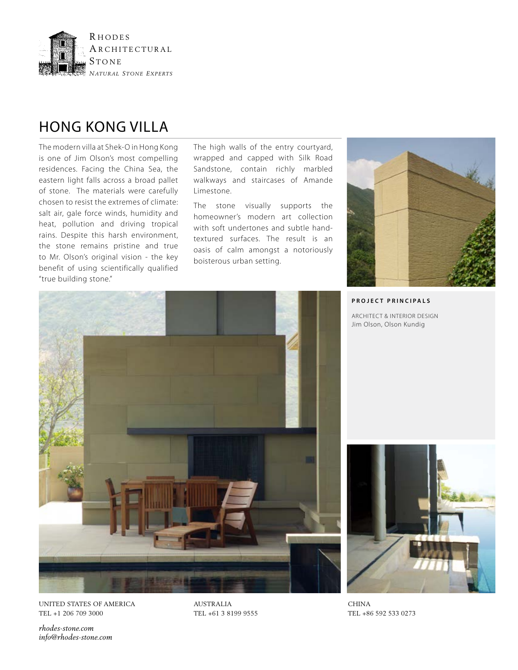

## HONG KONG VILLA

The modern villa at Shek-O in Hong Kong is one of Jim Olson's most compelling residences. Facing the China Sea, the eastern light falls across a broad pallet of stone. The materials were carefully chosen to resist the extremes of climate: salt air, gale force winds, humidity and heat, pollution and driving tropical rains. Despite this harsh environment, the stone remains pristine and true to Mr. Olson's original vision - the key benefit of using scientifically qualified "true building stone."

The high walls of the entry courtyard, wrapped and capped with Silk Road Sandstone, contain richly marbled walkways and staircases of Amande Limestone.

The stone visually supports the homeowner's modern art collection with soft undertones and subtle handtextured surfaces. The result is an oasis of calm amongst a notoriously boisterous urban setting.



**PROJECT PRINCIPALS**

ARCHITECT & INTERIOR DESIGN Jim Olson, Olson Kundig



UNITED STATES OF AMERICA TEL +1 206 709 3000

AUSTRALIA TEL +61 3 8199 9555



CHINA TEL +86 592 533 0273

*rhodes-stone.com info@rhodes-stone.com*